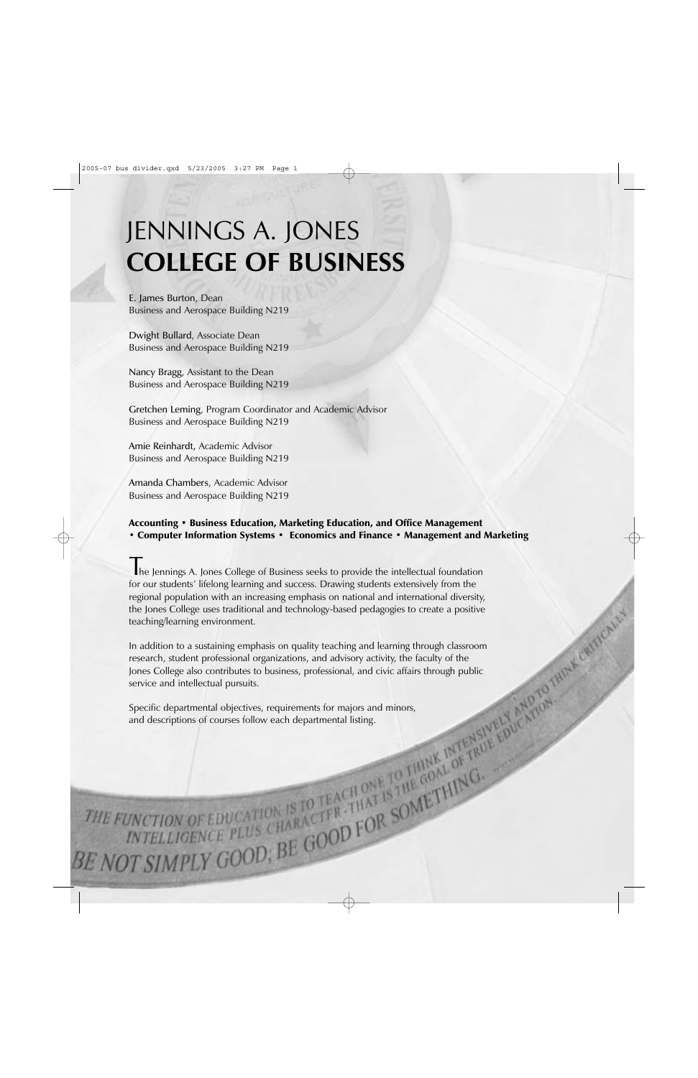# JENNINGS A. JONES **COLLEGE OF BUSINESS**

E. James Burton, Dean Business and Aerospace Building N219

Dwight Bullard, Associate Dean Business and Aerospace Building N219

Nancy Bragg, Assistant to the Dean Business and Aerospace Building N219

Gretchen Leming, Program Coordinator and Academic Advisor Business and Aerospace Building N219

Amie Reinhardt, Academic Advisor Business and Aerospace Building N219

Amanda Chambers, Academic Advisor Business and Aerospace Building N219

# Accounting • Business Education, Marketing Education, and Office Management • Computer Information Systems • Economics and Finance • Management and Marketing

The Jennings A. Jones College of Business seeks to provide the intellectual foundation for our students' lifelong learning and success. Drawing students extensively from the regional population with an increasing emphasis on national and international diversity, the Jones College uses traditional and technology-based pedagogies to create a positive teaching/learning environment.

In addition to a sustaining emphasis on quality teaching and learning through classroom research, student professional organizations, and advisory activity, the faculty of the Jones College also contributes to business, professional, and civic affairs through public service and intellectual pursuits.

Specific departmental objectives, requirements for majors and minors, and descriptions of courses follow each departmental listing.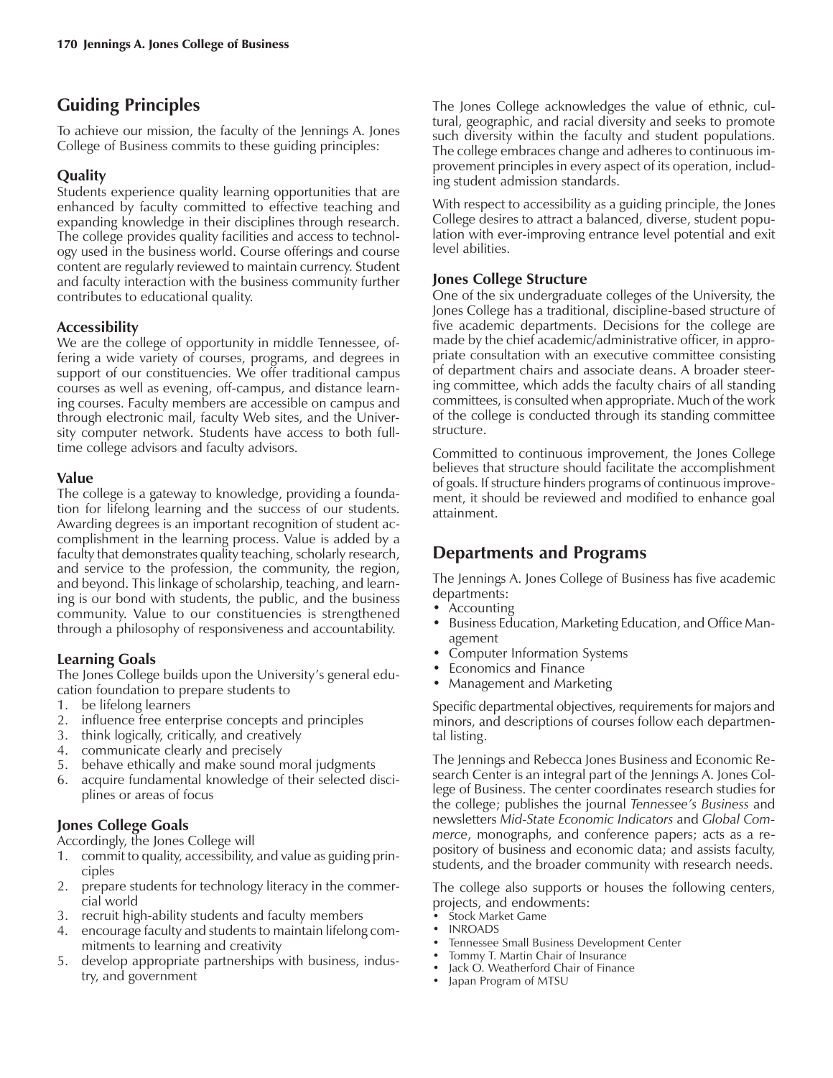# **Guiding Principles**

To achieve our mission, the faculty of the Jennings A. Jones College of Business commits to these guiding principles:

# **Quality**

Students experience quality learning opportunities that are enhanced by faculty committed to effective teaching and expanding knowledge in their disciplines through research. The college provides quality facilities and access to technology used in the business world. Course offerings and course content are regularly reviewed to maintain currency. Student and faculty interaction with the business community further contributes to educational quality.

# **Accessibility**

We are the college of opportunity in middle Tennessee, offering a wide variety of courses, programs, and degrees in support of our constituencies. We offer traditional campus courses as well as evening, off-campus, and distance learning courses. Faculty members are accessible on campus and through electronic mail, faculty Web sites, and the University computer network. Students have access to both fulltime college advisors and faculty advisors.

## **Value**

The college is a gateway to knowledge, providing a foundation for lifelong learning and the success of our students. Awarding degrees is an important recognition of student accomplishment in the learning process. Value is added by a faculty that demonstrates quality teaching, scholarly research, and service to the profession, the community, the region, and beyond. This linkage of scholarship, teaching, and learning is our bond with students, the public, and the business community. Value to our constituencies is strengthened through a philosophy of responsiveness and accountability.

# **Learning Goals**

The Jones College builds upon the University's general education foundation to prepare students to

- 1. be lifelong learners
- 2. influence free enterprise concepts and principles
- 3. think logically, critically, and creatively
- 4. communicate clearly and precisely
- 5. behave ethically and make sound moral judgments
- 6. acquire fundamental knowledge of their selected disciplines or areas of focus

## **Jones College Goals**

- Accordingly, the Jones College will<br>1. commit to quality, accessibility. commit to quality, accessibility, and value as guiding principles
- 2. prepare students for technology literacy in the commercial world
- 3. recruit high-ability students and faculty members
- 4. encourage faculty and students to maintain lifelong commitments to learning and creativity
- 5. develop appropriate partnerships with business, industry, and government

The Jones College acknowledges the value of ethnic, cultural, geographic, and racial diversity and seeks to promote such diversity within the faculty and student populations. The college embraces change and adheres to continuous improvement principles in every aspect of its operation, including student admission standards.

With respect to accessibility as a guiding principle, the Jones College desires to attract a balanced, diverse, student population with ever-improving entrance level potential and exit level abilities.

# **Jones College Structure**

One of the six undergraduate colleges of the University, the Jones College has a traditional, discipline-based structure of five academic departments. Decisions for the college are made by the chief academic/administrative officer, in appropriate consultation with an executive committee consisting of department chairs and associate deans. A broader steering committee, which adds the faculty chairs of all standing committees, is consulted when appropriate. Much of the work of the college is conducted through its standing committee structure.

Committed to continuous improvement, the Jones College believes that structure should facilitate the accomplishment of goals. If structure hinders programs of continuous improvement, it should be reviewed and modified to enhance goal attainment.

# **Departments and Programs**

The Jennings A. Jones College of Business has five academic departments:

- Accounting
- Business Education, Marketing Education, and Office Management
- Computer Information Systems
- Economics and Finance
- Management and Marketing

Specific departmental objectives, requirements for majors and minors, and descriptions of courses follow each departmental listing.

The Jennings and Rebecca Jones Business and Economic Research Center is an integral part of the Jennings A. Jones College of Business. The center coordinates research studies for the college; publishes the journal *Tennesseeís Business* and newsletters *Mid-State Economic Indicators* and *Global Commerce*, monographs, and conference papers; acts as a repository of business and economic data; and assists faculty, students, and the broader community with research needs.

The college also supports or houses the following centers, projects, and endowments:

- Stock Market Game
- INROADS
- Tennessee Small Business Development Center
- Tommy T. Martin Chair of Insurance
- $\bullet$  Jack O. Weatherford Chair of Finance
- Japan Program of MTSU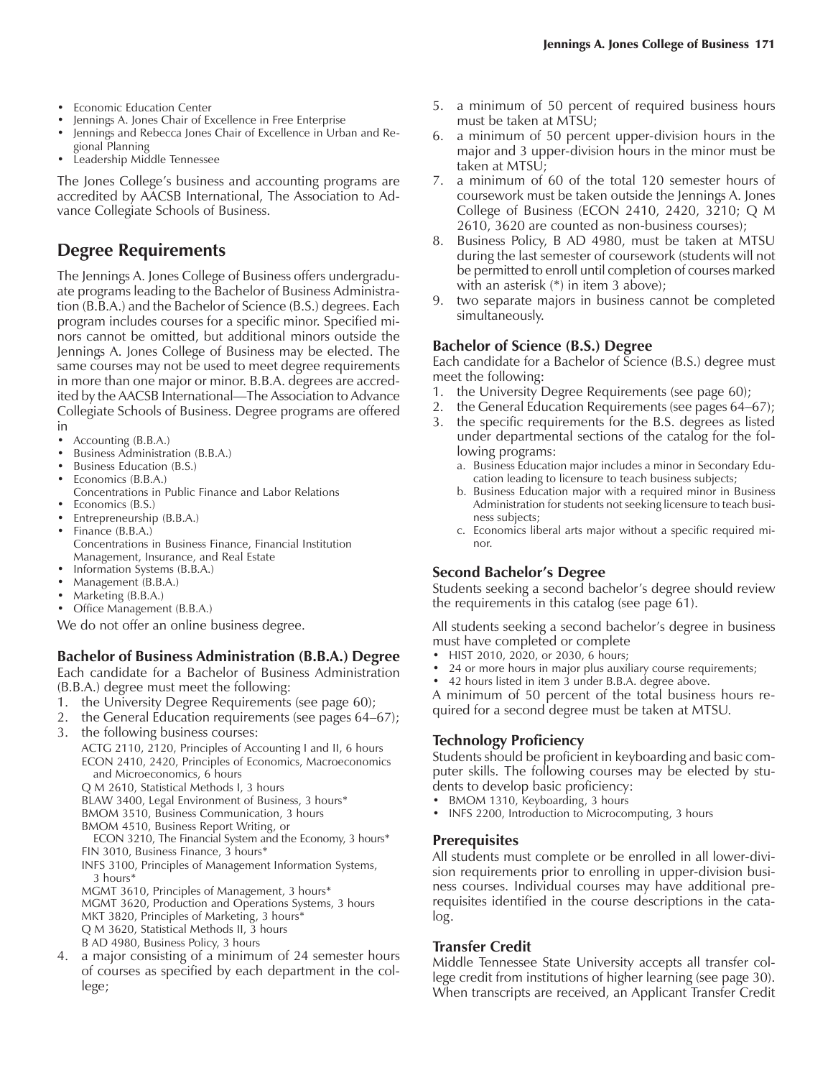- Jennings A. Jones Chair of Excellence in Free Enterprise<br>• Jennings and Rebecca Jones Chair of Excellence in Urbi
- Jennings and Rebecca Jones Chair of Excellence in Urban and Regional Planning
- Leadership Middle Tennessee

The Jones College's business and accounting programs are accredited by AACSB International, The Association to Advance Collegiate Schools of Business.

# **Degree Requirements**

The Jennings A. Jones College of Business offers undergraduate programs leading to the Bachelor of Business Administration (B.B.A.) and the Bachelor of Science (B.S.) degrees. Each program includes courses for a specific minor. Specified minors cannot be omitted, but additional minors outside the Jennings A. Jones College of Business may be elected. The same courses may not be used to meet degree requirements in more than one major or minor. B.B.A. degrees are accredited by the AACSB International—The Association to Advance Collegiate Schools of Business. Degree programs are offered in

- Accounting (B.B.A.)
- Business Administration (B.B.A.)
- Business Education (B.S.)
- Economics (B.B.A.)
- Concentrations in Public Finance and Labor Relations
- Economics (B.S.)
- Entrepreneurship (B.B.A.)
- Finance (B.B.A.) Concentrations in Business Finance, Financial Institution Management, Insurance, and Real Estate
- Information Systems (B.B.A.)
- Management (B.B.A.)
- Marketing (B.B.A.)
- Office Management (B.B.A.)
- We do not offer an online business degree.

## **Bachelor of Business Administration (B.B.A.) Degree**

Each candidate for a Bachelor of Business Administration (B.B.A.) degree must meet the following:

- 1. the University Degree Requirements (see page 60);
- 2. the General Education requirements (see pages 64-67); 3. the following business courses:
- ACTG 2110, 2120, Principles of Accounting I and II, 6 hours ECON 2410, 2420, Principles of Economics, Macroeconomics

and Microeconomics, 6 hours Q M 2610, Statistical Methods I, 3 hours

BLAW 3400, Legal Environment of Business, 3 hours\*

BMOM 3510, Business Communication, 3 hours

BMOM 4510, Business Report Writing, or

ECON 3210, The Financial System and the Economy, 3 hours\* FIN 3010, Business Finance, 3 hours\*

INFS 3100, Principles of Management Information Systems, 3 hours\*

MGMT 3610, Principles of Management, 3 hours\* MGMT 3620, Production and Operations Systems, 3 hours MKT 3820, Principles of Marketing, 3 hours\* Q M 3620, Statistical Methods II, 3 hours B AD 4980, Business Policy, 3 hours

4. a major consisting of a minimum of 24 semester hours of courses as specified by each department in the college;

- 5. a minimum of 50 percent of required business hours must be taken at MTSU;
- 6. a minimum of 50 percent upper-division hours in the major and 3 upper-division hours in the minor must be taken at MTSU;
- 7. a minimum of 60 of the total 120 semester hours of coursework must be taken outside the Jennings A. Jones College of Business (ECON 2410, 2420, 3210; Q M 2610, 3620 are counted as non-business courses);
- 8. Business Policy, B AD 4980, must be taken at MTSU during the last semester of coursework (students will not be permitted to enroll until completion of courses marked with an asterisk (\*) in item 3 above);
- 9. two separate majors in business cannot be completed simultaneously.

## **Bachelor of Science (B.S.) Degree**

Each candidate for a Bachelor of Science (B.S.) degree must meet the following:

- 1. the University Degree Requirements (see page 60);
- 2. the General Education Requirements (see pages 64–67);
- 3. the specific requirements for the B.S. degrees as listed under departmental sections of the catalog for the following programs:
	- a. Business Education major includes a minor in Secondary Education leading to licensure to teach business subjects;
	- b. Business Education major with a required minor in Business Administration for students not seeking licensure to teach business subjects;
	- c. Economics liberal arts major without a specific required minor.

## **Second Bachelorís Degree**

Students seeking a second bachelor's degree should review the requirements in this catalog (see page 61).

All students seeking a second bachelor's degree in business must have completed or complete

- HIST 2010, 2020, or 2030, 6 hours;
- 24 or more hours in major plus auxiliary course requirements;
- 42 hours listed in item 3 under B.B.A. degree above.

A minimum of 50 percent of the total business hours required for a second degree must be taken at MTSU.

## **Technology Proficiency**

Students should be proficient in keyboarding and basic computer skills. The following courses may be elected by students to develop basic proficiency:

- BMOM 1310, Keyboarding, 3 hours
- INFS 2200, Introduction to Microcomputing, 3 hours

### **Prerequisites**

All students must complete or be enrolled in all lower-division requirements prior to enrolling in upper-division business courses. Individual courses may have additional prerequisites identified in the course descriptions in the catalog.

### **Transfer Credit**

Middle Tennessee State University accepts all transfer college credit from institutions of higher learning (see page 30). When transcripts are received, an Applicant Transfer Credit